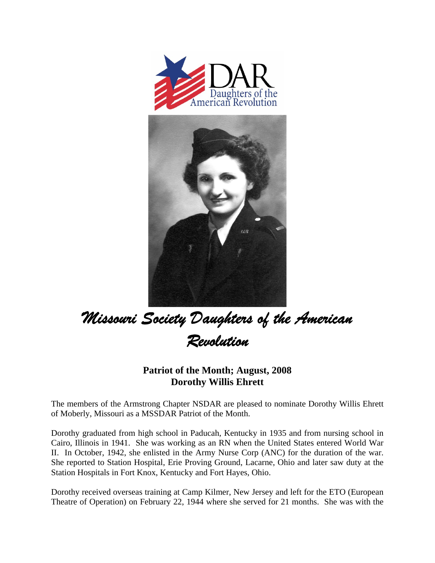



## *Missouri Society Daughters of the American Revolution*

## **Patriot of the Month; August, 2008 Dorothy Willis Ehrett**

The members of the Armstrong Chapter NSDAR are pleased to nominate Dorothy Willis Ehrett of Moberly, Missouri as a MSSDAR Patriot of the Month.

Dorothy graduated from high school in Paducah, Kentucky in 1935 and from nursing school in Cairo, Illinois in 1941. She was working as an RN when the United States entered World War II. In October, 1942, she enlisted in the Army Nurse Corp (ANC) for the duration of the war. She reported to Station Hospital, Erie Proving Ground, Lacarne, Ohio and later saw duty at the Station Hospitals in Fort Knox, Kentucky and Fort Hayes, Ohio.

Dorothy received overseas training at Camp Kilmer, New Jersey and left for the ETO (European Theatre of Operation) on February 22, 1944 where she served for 21 months. She was with the